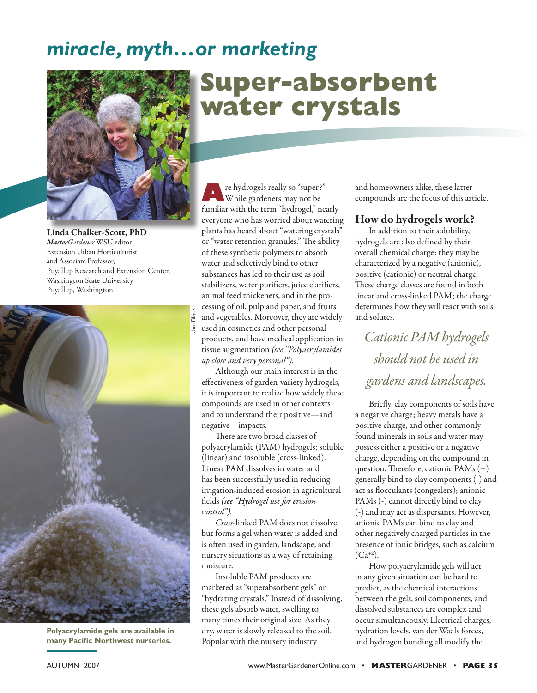## *miracle, myth…or marketing*



Linda Chalker-Scott, PhD *MasterGardener* WSU editor Extension Urban Horticulturist and Associate Professor, Puyallup Research and Extension Center, Washington State University Puyallup, Washington



**Polyacrylamide gels are available in many Pacific Northwest nurseries.** 

# **Super-absorbent water crystals**

**A**re hydrogels really so "super?"<br>While gardeners may not be familiar with the term "hydrogel," nearly everyone who has worried about watering plants has heard about "watering crystals" or "water retention granules." The ability of these synthetic polymers to absorb water and selectively bind to other substances has led to their use as soil stabilizers, water purifiers, juice clarifiers, animal feed thickeners, and in the processing of oil, pulp and paper, and fruits and vegetables. Moreover, they are widely used in cosmetics and other personal products, and have medical application in tissue augmentation *(see "Polyacrylamides up close and very personal").* 

Although our main interest is in the effectiveness of garden-variety hydrogels, it is important to realize how widely these compounds are used in other contexts and to understand their positive—and negative—impacts.

There are two broad classes of polyacrylamide (PAM) hydrogels: soluble (linear) and insoluble (cross-linked). Linear PAM dissolves in water and has been successfully used in reducing irrigation-induced erosion in agricultural fi elds *(see "Hydrogel use for erosion control").* 

*Cross*-linked PAM does not dissolve, but forms a gel when water is added and is often used in garden, landscape, and nursery situations as a way of retaining moisture.

Insoluble PAM products are marketed as "superabsorbent gels" or "hydrating crystals." Instead of dissolving, these gels absorb water, swelling to many times their original size. As they dry, water is slowly released to the soil. Popular with the nursery industry

and homeowners alike, these latter compounds are the focus of this article.

#### How do hydrogels work?

In addition to their solubility, hydrogels are also defined by their overall chemical charge: they may be characterized by a negative (anionic), positive (cationic) or neutral charge. These charge classes are found in both linear and cross-linked PAM; the charge determines how they will react with soils and solutes.

*Cationic PAM hydrogels should not be used in gardens and landscapes.*

Briefly, clay components of soils have a negative charge; heavy metals have a positive charge, and other commonly found minerals in soils and water may possess either a positive or a negative charge, depending on the compound in question. Therefore, cationic PAMs  $(+)$ generally bind to clay components (-) and act as flocculants (congealers); anionic PAMs (-) cannot directly bind to clay (-) and may act as dispersants. However, anionic PAMs can bind to clay and other negatively charged particles in the presence of ionic bridges, such as calcium  $(Ca^{+2})$ .

How polyacrylamide gels will act in any given situation can be hard to predict, as the chemical interactions between the gels, soil components, and dissolved substances are complex and occur simultaneously. Electrical charges, hydration levels, van der Waals forces, and hydrogen bonding all modify the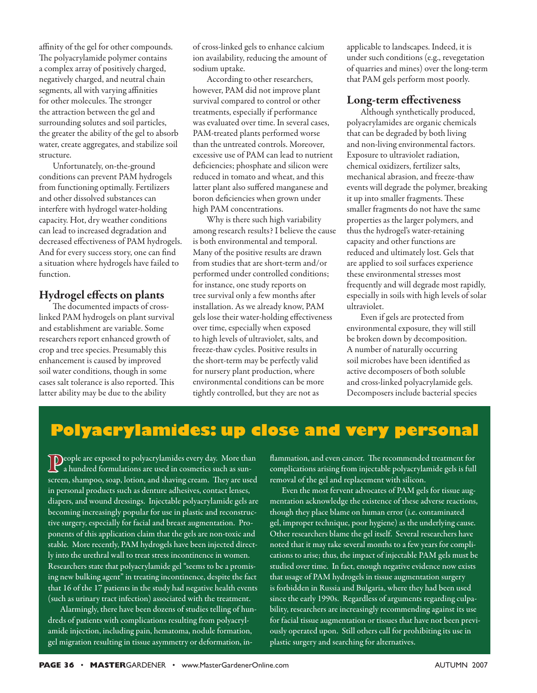affinity of the gel for other compounds. The polyacrylamide polymer contains a complex array of positively charged, negatively charged, and neutral chain segments, all with varying affinities for other molecules. The stronger the attraction between the gel and surrounding solutes and soil particles, the greater the ability of the gel to absorb water, create aggregates, and stabilize soil structure.

Unfortunately, on-the-ground conditions can prevent PAM hydrogels from functioning optimally. Fertilizers and other dissolved substances can interfere with hydrogel water-holding capacity. Hot, dry weather conditions can lead to increased degradation and decreased effectiveness of PAM hydrogels. And for every success story, one can find a situation where hydrogels have failed to function.

#### Hydrogel effects on plants

The documented impacts of crosslinked PAM hydrogels on plant survival and establishment are variable. Some researchers report enhanced growth of crop and tree species. Presumably this enhancement is caused by improved soil water conditions, though in some cases salt tolerance is also reported. This latter ability may be due to the ability

of cross-linked gels to enhance calcium ion availability, reducing the amount of sodium uptake.

According to other researchers, however, PAM did not improve plant survival compared to control or other treatments, especially if performance was evaluated over time. In several cases, PAM-treated plants performed worse than the untreated controls. Moreover, excessive use of PAM can lead to nutrient deficiencies; phosphate and silicon were reduced in tomato and wheat, and this latter plant also suffered manganese and boron deficiencies when grown under high PAM concentrations.

Why is there such high variability among research results? I believe the cause is both environmental and temporal. Many of the positive results are drawn from studies that are short-term and/or performed under controlled conditions; for instance, one study reports on tree survival only a few months after installation. As we already know, PAM gels lose their water-holding effectiveness over time, especially when exposed to high levels of ultraviolet, salts, and freeze-thaw cycles. Positive results in the short-term may be perfectly valid for nursery plant production, where environmental conditions can be more tightly controlled, but they are not as

applicable to landscapes. Indeed, it is under such conditions (e.g., revegetation of quarries and mines) over the long-term that PAM gels perform most poorly.

#### Long-term effectiveness

Although synthetically produced, polyacrylamides are organic chemicals that can be degraded by both living and non-living environmental factors. Exposure to ultraviolet radiation, chemical oxidizers, fertilizer salts, mechanical abrasion, and freeze-thaw events will degrade the polymer, breaking it up into smaller fragments. These smaller fragments do not have the same properties as the larger polymers, and thus the hydrogel's water-retaining capacity and other functions are reduced and ultimately lost. Gels that are applied to soil surfaces experience these environmental stresses most frequently and will degrade most rapidly, especially in soils with high levels of solar ultraviolet.

Even if gels are protected from environmental exposure, they will still be broken down by decomposition. A number of naturally occurring soil microbes have been identified as active decomposers of both soluble and cross-linked polyacrylamide gels. Decomposers include bacterial species

## **Polyacrylamides: up close and very personal**

 $\overline{\mathbf{D}}$ eople are exposed to polyacrylamides every day. More than a hundred formulations are used in cosmetics such as sunscreen, shampoo, soap, lotion, and shaving cream. They are used in personal products such as denture adhesives, contact lenses, diapers, and wound dressings. Injectable polyacrylamide gels are becoming increasingly popular for use in plastic and reconstructive surgery, especially for facial and breast augmentation. Proponents of this application claim that the gels are non-toxic and stable. More recently, PAM hydrogels have been injected directly into the urethral wall to treat stress incontinence in women. Researchers state that polyacrylamide gel "seems to be a promising new bulking agent" in treating incontinence, despite the fact that 16 of the 17 patients in the study had negative health events (such as urinary tract infection) associated with the treatment.

Alarmingly, there have been dozens of studies telling of hundreds of patients with complications resulting from polyacrylamide injection, including pain, hematoma, nodule formation, gel migration resulting in tissue asymmetry or deformation, inflammation, and even cancer. The recommended treatment for complications arising from injectable polyacrylamide gels is full removal of the gel and replacement with silicon.

Even the most fervent advocates of PAM gels for tissue augmentation acknowledge the existence of these adverse reactions, though they place blame on human error (i.e. contaminated gel, improper technique, poor hygiene) as the underlying cause. Other researchers blame the gel itself. Several researchers have noted that it may take several months to a few years for complications to arise; thus, the impact of injectable PAM gels must be studied over time. In fact, enough negative evidence now exists that usage of PAM hydrogels in tissue augmentation surgery is forbidden in Russia and Bulgaria, where they had been used since the early 1990s. Regardless of arguments regarding culpability, researchers are increasingly recommending against its use for facial tissue augmentation or tissues that have not been previously operated upon. Still others call for prohibiting its use in plastic surgery and searching for alternatives.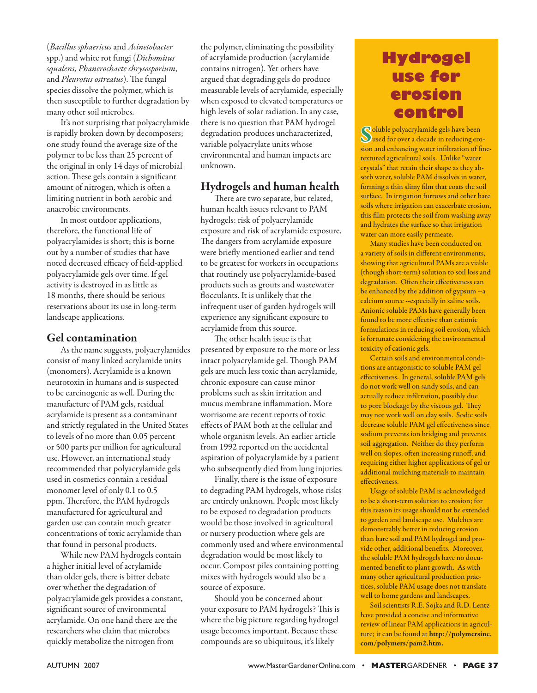(*Bacillus sphaericus* and *Acinetobacter*  spp.) and white rot fungi (*Dichomitus squalens, Phanerochaete chrysosporium*, and *Pleurotus ostreatus*). The fungal species dissolve the polymer, which is then susceptible to further degradation by many other soil microbes.

It's not surprising that polyacrylamide is rapidly broken down by decomposers; one study found the average size of the polymer to be less than 25 percent of the original in only 14 days of microbial action. These gels contain a significant amount of nitrogen, which is often a limiting nutrient in both aerobic and anaerobic environments.

In most outdoor applications, therefore, the functional life of polyacrylamides is short; this is borne out by a number of studies that have noted decreased efficacy of field-applied polyacrylamide gels over time. If gel activity is destroyed in as little as 18 months, there should be serious reservations about its use in long-term landscape applications.

#### Gel contamination

As the name suggests, polyacrylamides consist of many linked acrylamide units (monomers). Acrylamide is a known neurotoxin in humans and is suspected to be carcinogenic as well. During the manufacture of PAM gels, residual acrylamide is present as a contaminant and strictly regulated in the United States to levels of no more than 0.05 percent or 500 parts per million for agricultural use. However, an international study recommended that polyacrylamide gels used in cosmetics contain a residual monomer level of only 0.1 to 0.5 ppm. Therefore, the PAM hydrogels manufactured for agricultural and garden use can contain much greater concentrations of toxic acrylamide than that found in personal products.

While new PAM hydrogels contain a higher initial level of acrylamide than older gels, there is bitter debate over whether the degradation of polyacrylamide gels provides a constant, significant source of environmental acrylamide. On one hand there are the researchers who claim that microbes quickly metabolize the nitrogen from

the polymer, eliminating the possibility of acrylamide production (acrylamide contains nitrogen). Yet others have argued that degrading gels do produce measurable levels of acrylamide, especially when exposed to elevated temperatures or high levels of solar radiation. In any case, there is no question that PAM hydrogel degradation produces uncharacterized, variable polyacrylate units whose environmental and human impacts are unknown.

#### Hydrogels and human health

There are two separate, but related, human health issues relevant to PAM hydrogels: risk of polyacrylamide exposure and risk of acrylamide exposure. The dangers from acrylamide exposure were briefly mentioned earlier and tend to be greatest for workers in occupations that routinely use polyacrylamide-based products such as grouts and wastewater flocculants. It is unlikely that the infrequent user of garden hydrogels will experience any significant exposure to acrylamide from this source.

The other health issue is that presented by exposure to the more or less intact polyacrylamide gel. Though PAM gels are much less toxic than acrylamide, chronic exposure can cause minor problems such as skin irritation and mucus membrane inflammation. More worrisome are recent reports of toxic effects of PAM both at the cellular and whole organism levels. An earlier article from 1992 reported on the accidental aspiration of polyacrylamide by a patient who subsequently died from lung injuries.

Finally, there is the issue of exposure to degrading PAM hydrogels, whose risks are entirely unknown. People most likely to be exposed to degradation products would be those involved in agricultural or nursery production where gels are commonly used and where environmental degradation would be most likely to occur. Compost piles containing potting mixes with hydrogels would also be a source of exposure.

Should you be concerned about your exposure to PAM hydrogels? This is where the big picture regarding hydrogel usage becomes important. Because these compounds are so ubiquitous, it's likely

## **Hydrogel use for erosion control**

Soluble polyacrylamide gels have been used for over a decade in reducing erosion and enhancing water infiltration of finetextured agricultural soils. Unlike "water crystals" that retain their shape as they absorb water, soluble PAM dissolves in water, forming a thin slimy film that coats the soil surface. In irrigation furrows and other bare soils where irrigation can exacerbate erosion, this film protects the soil from washing away and hydrates the surface so that irrigation water can more easily permeate.

Many studies have been conducted on a variety of soils in different environments, showing that agricultural PAMs are a viable (though short-term) solution to soil loss and degradation. Often their effectiveness can be enhanced by the addition of gypsum --a calcium source --especially in saline soils. Anionic soluble PAMs have generally been found to be more effective than cationic formulations in reducing soil erosion, which is fortunate considering the environmental toxicity of cationic gels.

Certain soils and environmental conditions are antagonistic to soluble PAM gel effectiveness. In general, soluble PAM gels do not work well on sandy soils, and can actually reduce infiltration, possibly due to pore blockage by the viscous gel. They may not work well on clay soils. Sodic soils decrease soluble PAM gel effectiveness since sodium prevents ion bridging and prevents soil aggregation. Neither do they perform well on slopes, often increasing runoff, and requiring either higher applications of gel or additional mulching materials to maintain effectiveness.

Usage of soluble PAM is acknowledged to be a short-term solution to erosion; for this reason its usage should not be extended to garden and landscape use. Mulches are demonstrably better in reducing erosion than bare soil and PAM hydrogel and provide other, additional benefits. Moreover, the soluble PAM hydrogels have no documented benefit to plant growth. As with many other agricultural production practices, soluble PAM usage does not translate well to home gardens and landscapes.

Soil scientists R.E. Sojka and R.D. Lentz have provided a concise and informative review of linear PAM applications in agriculture; it can be found at http://polymersinc. com/polymers/pam2.htm.